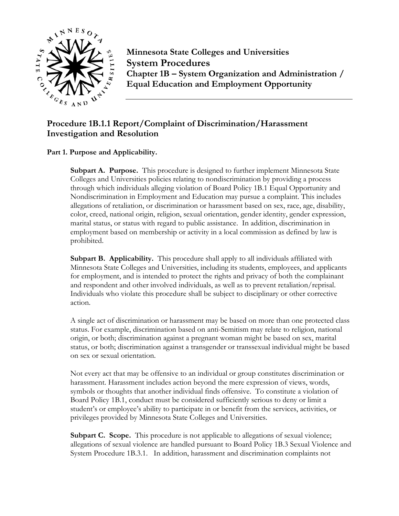

**Minnesota State Colleges and Universities System Procedures Chapter 1B – System Organization and Administration / Equal Education and Employment Opportunity Procedure 1B.1.1 Report/Complaint of Discrimination/Harassment**<br>
Procedure 1B.1.1 Report/Complaint of Discrimination/Harassment

# **Investigation and Resolution**

## **Part 1. Purpose and Applicability.**

**Subpart A. Purpose.** This procedure is designed to further implement Minnesota State Colleges and Universities policies relating to nondiscrimination by providing a process through which individuals alleging violation of Board Policy 1B.1 Equal Opportunity and Nondiscrimination in Employment and Education may pursue a complaint. This includes allegations of retaliation, or discrimination or harassment based on sex, race, age, disability, color, creed, national origin, religion, sexual orientation, gender identity, gender expression, marital status, or status with regard to public assistance. In addition, discrimination in employment based on membership or activity in a local commission as defined by law is prohibited.

**Subpart B. Applicability.** This procedure shall apply to all individuals affiliated with Minnesota State Colleges and Universities, including its students, employees, and applicants for employment, and is intended to protect the rights and privacy of both the complainant and respondent and other involved individuals, as well as to prevent retaliation/reprisal. Individuals who violate this procedure shall be subject to disciplinary or other corrective action.

A single act of discrimination or harassment may be based on more than one protected class status. For example, discrimination based on anti-Semitism may relate to religion, national origin, or both; discrimination against a pregnant woman might be based on sex, marital status, or both; discrimination against a transgender or transsexual individual might be based on sex or sexual orientation.

Not every act that may be offensive to an individual or group constitutes discrimination or harassment. Harassment includes action beyond the mere expression of views, words, symbols or thoughts that another individual finds offensive. To constitute a violation of Board Policy 1B.1, conduct must be considered sufficiently serious to deny or limit a student's or employee's ability to participate in or benefit from the services, activities, or privileges provided by Minnesota State Colleges and Universities.

**Subpart C. Scope.** This procedure is not applicable to allegations of sexual violence; allegations of sexual violence are handled pursuant to Board Policy 1B.3 Sexual Violence and System Procedure 1B.3.1. In addition, harassment and discrimination complaints not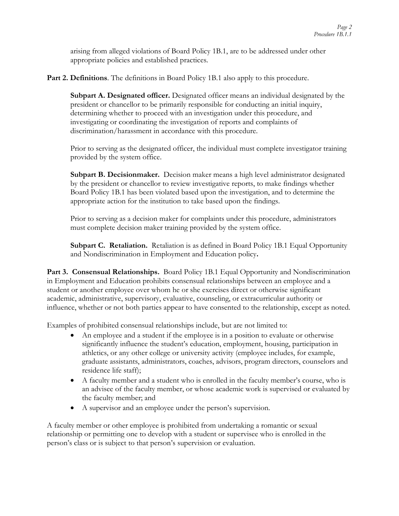arising from alleged violations of Board Policy 1B.1, are to be addressed under other appropriate policies and established practices.

**Part 2. Definitions**. The definitions in Board Policy 1B.1 also apply to this procedure.

**Subpart A. Designated officer.** Designated officer means an individual designated by the president or chancellor to be primarily responsible for conducting an initial inquiry, determining whether to proceed with an investigation under this procedure, and investigating or coordinating the investigation of reports and complaints of discrimination/harassment in accordance with this procedure.

Prior to serving as the designated officer, the individual must complete investigator training provided by the system office.

**Subpart B. Decisionmaker.** Decision maker means a high level administrator designated by the president or chancellor to review investigative reports, to make findings whether Board Policy 1B.1 has been violated based upon the investigation, and to determine the appropriate action for the institution to take based upon the findings.

Prior to serving as a decision maker for complaints under this procedure, administrators must complete decision maker training provided by the system office.

**Subpart C. Retaliation.** Retaliation is as defined in Board Policy 1B.1 Equal Opportunity and Nondiscrimination in Employment and Education policy**.**

Part 3. Consensual Relationships. Board Policy 1B.1 Equal Opportunity and Nondiscrimination in Employment and Education prohibits consensual relationships between an employee and a student or another employee over whom he or she exercises direct or otherwise significant academic, administrative, supervisory, evaluative, counseling, or extracurricular authority or influence, whether or not both parties appear to have consented to the relationship, except as noted.

Examples of prohibited consensual relationships include, but are not limited to:

- An employee and a student if the employee is in a position to evaluate or otherwise significantly influence the student's education, employment, housing, participation in athletics, or any other college or university activity (employee includes, for example, graduate assistants, administrators, coaches, advisors, program directors, counselors and residence life staff);
- A faculty member and a student who is enrolled in the faculty member's course, who is an advisee of the faculty member, or whose academic work is supervised or evaluated by the faculty member; and
- A supervisor and an employee under the person's supervision.

A faculty member or other employee is prohibited from undertaking a romantic or sexual relationship or permitting one to develop with a student or supervisee who is enrolled in the person's class or is subject to that person's supervision or evaluation.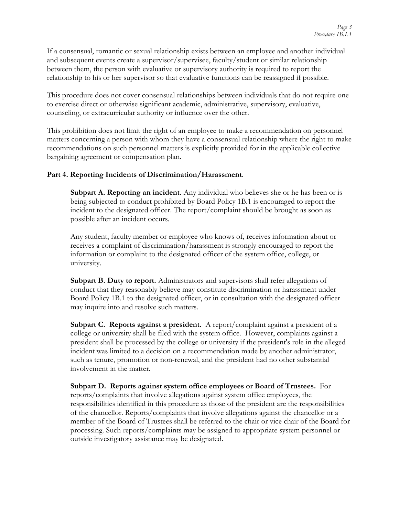If a consensual, romantic or sexual relationship exists between an employee and another individual and subsequent events create a supervisor/supervisee, faculty/student or similar relationship between them, the person with evaluative or supervisory authority is required to report the relationship to his or her supervisor so that evaluative functions can be reassigned if possible.

This procedure does not cover consensual relationships between individuals that do not require one to exercise direct or otherwise significant academic, administrative, supervisory, evaluative, counseling, or extracurricular authority or influence over the other.

This prohibition does not limit the right of an employee to make a recommendation on personnel matters concerning a person with whom they have a consensual relationship where the right to make recommendations on such personnel matters is explicitly provided for in the applicable collective bargaining agreement or compensation plan.

#### **Part 4. Reporting Incidents of Discrimination/Harassment**.

**Subpart A. Reporting an incident.** Any individual who believes she or he has been or is being subjected to conduct prohibited by Board Policy 1B.1 is encouraged to report the incident to the designated officer. The report/complaint should be brought as soon as possible after an incident occurs.

Any student, faculty member or employee who knows of, receives information about or receives a complaint of discrimination/harassment is strongly encouraged to report the information or complaint to the designated officer of the system office, college, or university.

**Subpart B. Duty to report.** Administrators and supervisors shall refer allegations of conduct that they reasonably believe may constitute discrimination or harassment under Board Policy 1B.1 to the designated officer, or in consultation with the designated officer may inquire into and resolve such matters.

**Subpart C. Reports against a president.** A report/complaint against a president of a college or university shall be filed with the system office. However, complaints against a president shall be processed by the college or university if the president's role in the alleged incident was limited to a decision on a recommendation made by another administrator, such as tenure, promotion or non-renewal, and the president had no other substantial involvement in the matter.

**Subpart D. Reports against system office employees or Board of Trustees.** For reports/complaints that involve allegations against system office employees, the responsibilities identified in this procedure as those of the president are the responsibilities of the chancellor. Reports/complaints that involve allegations against the chancellor or a member of the Board of Trustees shall be referred to the chair or vice chair of the Board for processing. Such reports/complaints may be assigned to appropriate system personnel or outside investigatory assistance may be designated.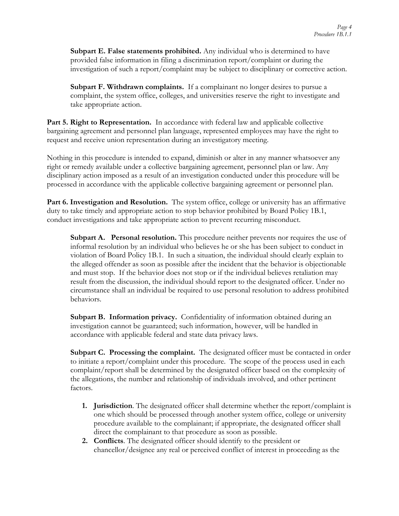**Subpart E. False statements prohibited.** Any individual who is determined to have provided false information in filing a discrimination report/complaint or during the investigation of such a report/complaint may be subject to disciplinary or corrective action.

**Subpart F. Withdrawn complaints.** If a complainant no longer desires to pursue a complaint, the system office, colleges, and universities reserve the right to investigate and take appropriate action.

**Part 5. Right to Representation.** In accordance with federal law and applicable collective bargaining agreement and personnel plan language, represented employees may have the right to request and receive union representation during an investigatory meeting.

Nothing in this procedure is intended to expand, diminish or alter in any manner whatsoever any right or remedy available under a collective bargaining agreement, personnel plan or law. Any disciplinary action imposed as a result of an investigation conducted under this procedure will be processed in accordance with the applicable collective bargaining agreement or personnel plan.

**Part 6. Investigation and Resolution.** The system office, college or university has an affirmative duty to take timely and appropriate action to stop behavior prohibited by Board Policy 1B.1, conduct investigations and take appropriate action to prevent recurring misconduct.

**Subpart A. Personal resolution.** This procedure neither prevents nor requires the use of informal resolution by an individual who believes he or she has been subject to conduct in violation of Board Policy 1B.1. In such a situation, the individual should clearly explain to the alleged offender as soon as possible after the incident that the behavior is objectionable and must stop. If the behavior does not stop or if the individual believes retaliation may result from the discussion, the individual should report to the designated officer. Under no circumstance shall an individual be required to use personal resolution to address prohibited behaviors.

**Subpart B. Information privacy.** Confidentiality of information obtained during an investigation cannot be guaranteed; such information, however, will be handled in accordance with applicable federal and state data privacy laws.

**Subpart C. Processing the complaint.** The designated officer must be contacted in order to initiate a report/complaint under this procedure. The scope of the process used in each complaint/report shall be determined by the designated officer based on the complexity of the allegations, the number and relationship of individuals involved, and other pertinent factors.

- **1. Jurisdiction**. The designated officer shall determine whether the report/complaint is one which should be processed through another system office, college or university procedure available to the complainant; if appropriate, the designated officer shall direct the complainant to that procedure as soon as possible.
- **2. Conflicts**. The designated officer should identify to the president or chancellor/designee any real or perceived conflict of interest in proceeding as the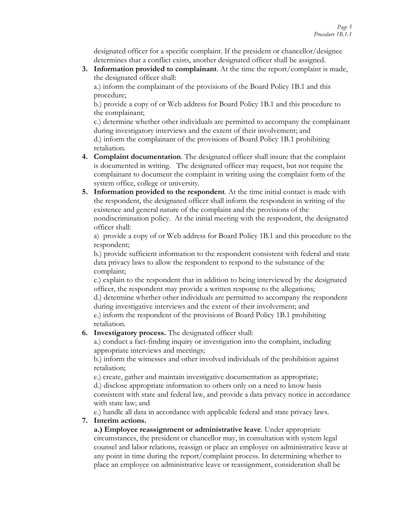designated officer for a specific complaint. If the president or chancellor/designee determines that a conflict exists, another designated officer shall be assigned.

**3. Information provided to complainant**. At the time the report/complaint is made, the designated officer shall:

a.) inform the complainant of the provisions of the Board Policy 1B.1 and this procedure;

b.) provide a copy of or Web address for Board Policy 1B.1 and this procedure to the complainant;

c.) determine whether other individuals are permitted to accompany the complainant during investigatory interviews and the extent of their involvement; and d.) inform the complainant of the provisions of Board Policy 1B.1 prohibiting retaliation.

- **4. Complaint documentation**. The designated officer shall insure that the complaint is documented in writing. The designated officer may request, but not require the complainant to document the complaint in writing using the complaint form of the system office, college or university.
- **5. Information provided to the respondent**. At the time initial contact is made with the respondent, the designated officer shall inform the respondent in writing of the existence and general nature of the complaint and the provisions of the nondiscrimination policy. At the initial meeting with the respondent, the designated officer shall:

a) provide a copy of or Web address for Board Policy 1B.1 and this procedure to the respondent;

b.) provide sufficient information to the respondent consistent with federal and state data privacy laws to allow the respondent to respond to the substance of the complaint;

c.) explain to the respondent that in addition to being interviewed by the designated officer, the respondent may provide a written response to the allegations;

d.) determine whether other individuals are permitted to accompany the respondent during investigative interviews and the extent of their involvement; and

e.) inform the respondent of the provisions of Board Policy 1B.1 prohibiting retaliation.

## **6. Investigatory process.** The designated officer shall:

a.) conduct a fact-finding inquiry or investigation into the complaint, including appropriate interviews and meetings;

b.) inform the witnesses and other involved individuals of the prohibition against retaliation;

c.) create, gather and maintain investigative documentation as appropriate; d.) disclose appropriate information to others only on a need to know basis consistent with state and federal law, and provide a data privacy notice in accordance with state law; and

e.) handle all data in accordance with applicable federal and state privacy laws.

## **7. Interim actions.**

**a.) Employee reassignment or administrative leave**. Under appropriate circumstances, the president or chancellor may, in consultation with system legal counsel and labor relations, reassign or place an employee on administrative leave at any point in time during the report/complaint process. In determining whether to place an employee on administrative leave or reassignment, consideration shall be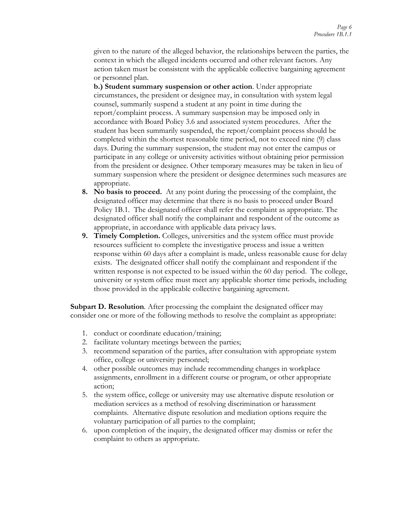given to the nature of the alleged behavior, the relationships between the parties, the context in which the alleged incidents occurred and other relevant factors. Any action taken must be consistent with the applicable collective bargaining agreement or personnel plan.

**b.) Student summary suspension or other action**. Under appropriate circumstances, the president or designee may, in consultation with system legal counsel, summarily suspend a student at any point in time during the report/complaint process. A summary suspension may be imposed only in accordance with Board Policy 3.6 and associated system procedures. After the student has been summarily suspended, the report/complaint process should be completed within the shortest reasonable time period, not to exceed nine (9) class days. During the summary suspension, the student may not enter the campus or participate in any college or university activities without obtaining prior permission from the president or designee. Other temporary measures may be taken in lieu of summary suspension where the president or designee determines such measures are appropriate.

- **8. No basis to proceed.** At any point during the processing of the complaint, the designated officer may determine that there is no basis to proceed under Board Policy 1B.1. The designated officer shall refer the complaint as appropriate. The designated officer shall notify the complainant and respondent of the outcome as appropriate, in accordance with applicable data privacy laws.
- **9. Timely Completion.** Colleges, universities and the system office must provide resources sufficient to complete the investigative process and issue a written response within 60 days after a complaint is made, unless reasonable cause for delay exists. The designated officer shall notify the complainant and respondent if the written response is not expected to be issued within the 60 day period. The college, university or system office must meet any applicable shorter time periods, including those provided in the applicable collective bargaining agreement.

**Subpart D. Resolution**. After processing the complaint the designated officer may consider one or more of the following methods to resolve the complaint as appropriate:

- 1. conduct or coordinate education/training;
- 2. facilitate voluntary meetings between the parties;
- 3. recommend separation of the parties, after consultation with appropriate system office, college or university personnel;
- 4. other possible outcomes may include recommending changes in workplace assignments, enrollment in a different course or program, or other appropriate action;
- 5. the system office, college or university may use alternative dispute resolution or mediation services as a method of resolving discrimination or harassment complaints. Alternative dispute resolution and mediation options require the voluntary participation of all parties to the complaint;
- 6. upon completion of the inquiry, the designated officer may dismiss or refer the complaint to others as appropriate.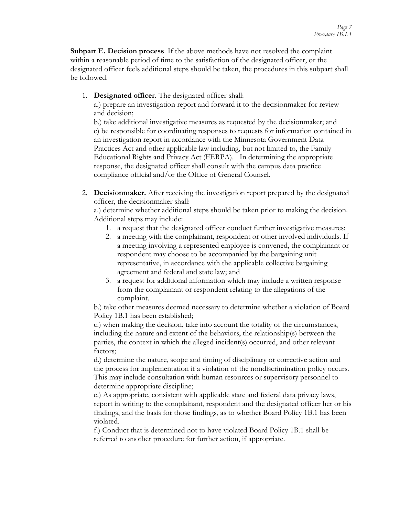**Subpart E. Decision process**. If the above methods have not resolved the complaint within a reasonable period of time to the satisfaction of the designated officer, or the designated officer feels additional steps should be taken, the procedures in this subpart shall be followed.

1. **Designated officer.** The designated officer shall:

a.) prepare an investigation report and forward it to the decisionmaker for review and decision;

b.) take additional investigative measures as requested by the decisionmaker; and c) be responsible for coordinating responses to requests for information contained in an investigation report in accordance with the Minnesota Government Data Practices Act and other applicable law including, but not limited to, the Family Educational Rights and Privacy Act (FERPA). In determining the appropriate response, the designated officer shall consult with the campus data practice compliance official and/or the Office of General Counsel.

2. **Decisionmaker.** After receiving the investigation report prepared by the designated officer, the decisionmaker shall:

a.) determine whether additional steps should be taken prior to making the decision. Additional steps may include:

- 1. a request that the designated officer conduct further investigative measures;
- 2. a meeting with the complainant, respondent or other involved individuals. If a meeting involving a represented employee is convened, the complainant or respondent may choose to be accompanied by the bargaining unit representative, in accordance with the applicable collective bargaining agreement and federal and state law; and
- 3. a request for additional information which may include a written response from the complainant or respondent relating to the allegations of the complaint.

b.) take other measures deemed necessary to determine whether a violation of Board Policy 1B.1 has been established;

c.) when making the decision, take into account the totality of the circumstances, including the nature and extent of the behaviors, the relationship(s) between the parties, the context in which the alleged incident(s) occurred, and other relevant factors;

d.) determine the nature, scope and timing of disciplinary or corrective action and the process for implementation if a violation of the nondiscrimination policy occurs. This may include consultation with human resources or supervisory personnel to determine appropriate discipline;

e.) As appropriate, consistent with applicable state and federal data privacy laws, report in writing to the complainant, respondent and the designated officer her or his findings, and the basis for those findings, as to whether Board Policy 1B.1 has been violated.

f.) Conduct that is determined not to have violated Board Policy 1B.1 shall be referred to another procedure for further action, if appropriate.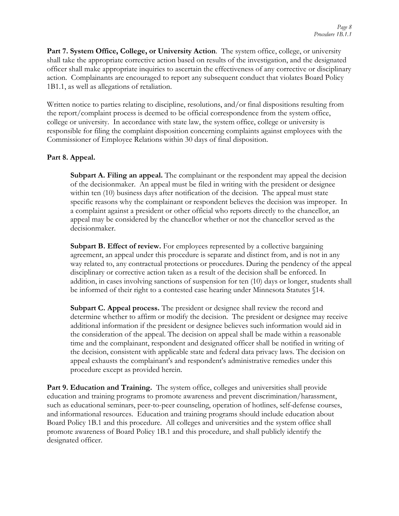**Part 7. System Office, College, or University Action**. The system office, college, or university shall take the appropriate corrective action based on results of the investigation, and the designated officer shall make appropriate inquiries to ascertain the effectiveness of any corrective or disciplinary action. Complainants are encouraged to report any subsequent conduct that violates Board Policy 1B1.1, as well as allegations of retaliation.

Written notice to parties relating to discipline, resolutions, and/or final dispositions resulting from the report/complaint process is deemed to be official correspondence from the system office, college or university. In accordance with state law, the system office, college or university is responsible for filing the complaint disposition concerning complaints against employees with the Commissioner of Employee Relations within 30 days of final disposition.

#### **Part 8. Appeal.**

**Subpart A. Filing an appeal.** The complainant or the respondent may appeal the decision of the decisionmaker. An appeal must be filed in writing with the president or designee within ten (10) business days after notification of the decision. The appeal must state specific reasons why the complainant or respondent believes the decision was improper. In a complaint against a president or other official who reports directly to the chancellor, an appeal may be considered by the chancellor whether or not the chancellor served as the decisionmaker.

**Subpart B. Effect of review.** For employees represented by a collective bargaining agreement, an appeal under this procedure is separate and distinct from, and is not in any way related to, any contractual protections or procedures. During the pendency of the appeal disciplinary or corrective action taken as a result of the decision shall be enforced. In addition, in cases involving sanctions of suspension for ten (10) days or longer, students shall be informed of their right to a contested case hearing under Minnesota Statutes §14.

**Subpart C. Appeal process.** The president or designee shall review the record and determine whether to affirm or modify the decision. The president or designee may receive additional information if the president or designee believes such information would aid in the consideration of the appeal. The decision on appeal shall be made within a reasonable time and the complainant, respondent and designated officer shall be notified in writing of the decision, consistent with applicable state and federal data privacy laws. The decision on appeal exhausts the complainant's and respondent's administrative remedies under this procedure except as provided herein.

**Part 9. Education and Training.** The system office, colleges and universities shall provide education and training programs to promote awareness and prevent discrimination/harassment, such as educational seminars, peer-to-peer counseling, operation of hotlines, self-defense courses, and informational resources. Education and training programs should include education about Board Policy 1B.1 and this procedure. All colleges and universities and the system office shall promote awareness of Board Policy 1B.1 and this procedure, and shall publicly identify the designated officer.